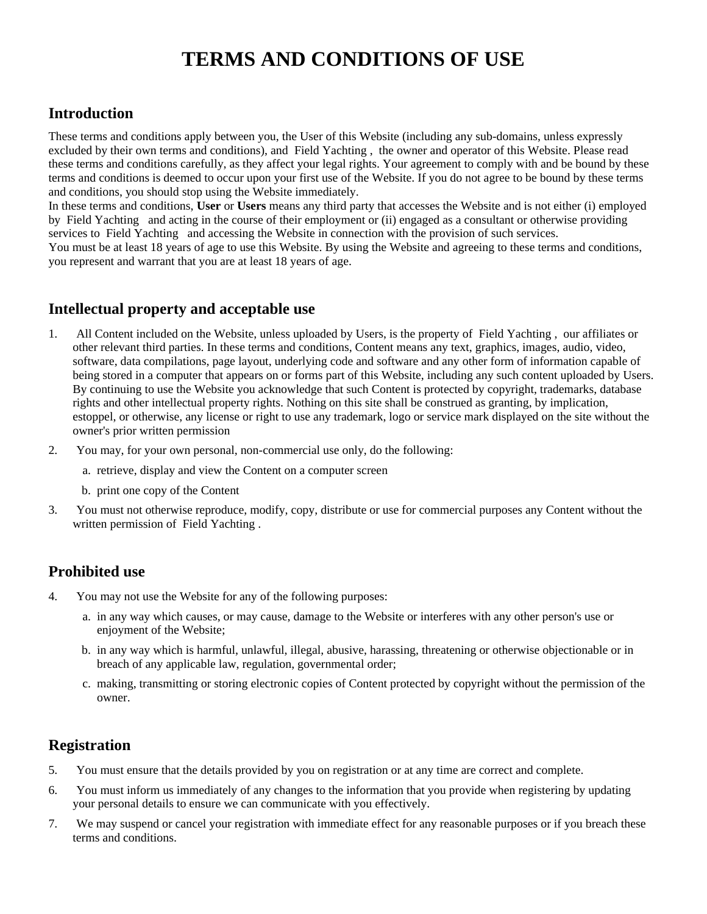# **TERMS AND CONDITIONS OF USE**

# **Introduction**

These terms and conditions apply between you, the User of this Website (including any sub-domains, unless expressly excluded by their own terms and conditions), and Field Yachting , the owner and operator of this Website. Please read these terms and conditions carefully, as they affect your legal rights. Your agreement to comply with and be bound by these terms and conditions is deemed to occur upon your first use of the Website. If you do not agree to be bound by these terms and conditions, you should stop using the Website immediately.

In these terms and conditions, **User** or **Users** means any third party that accesses the Website and is not either (i) employed by Field Yachting and acting in the course of their employment or (ii) engaged as a consultant or otherwise providing services to Field Yachting and accessing the Website in connection with the provision of such services. You must be at least 18 years of age to use this Website. By using the Website and agreeing to these terms and conditions, you represent and warrant that you are at least 18 years of age.

# **Intellectual property and acceptable use**

- 1. All Content included on the Website, unless uploaded by Users, is the property of Field Yachting , our affiliates or other relevant third parties. In these terms and conditions, Content means any text, graphics, images, audio, video, software, data compilations, page layout, underlying code and software and any other form of information capable of being stored in a computer that appears on or forms part of this Website, including any such content uploaded by Users. By continuing to use the Website you acknowledge that such Content is protected by copyright, trademarks, database rights and other intellectual property rights. Nothing on this site shall be construed as granting, by implication, estoppel, or otherwise, any license or right to use any trademark, logo or service mark displayed on the site without the owner's prior written permission
- 2. You may, for your own personal, non-commercial use only, do the following:
	- a. retrieve, display and view the Content on a computer screen
	- b. print one copy of the Content
- 3. You must not otherwise reproduce, modify, copy, distribute or use for commercial purposes any Content without the written permission of Field Yachting .

# **Prohibited use**

- 4. You may not use the Website for any of the following purposes:
	- a. in any way which causes, or may cause, damage to the Website or interferes with any other person's use or enjoyment of the Website;
	- b. in any way which is harmful, unlawful, illegal, abusive, harassing, threatening or otherwise objectionable or in breach of any applicable law, regulation, governmental order;
	- c. making, transmitting or storing electronic copies of Content protected by copyright without the permission of the owner.

## **Registration**

- 5. You must ensure that the details provided by you on registration or at any time are correct and complete.
- 6. You must inform us immediately of any changes to the information that you provide when registering by updating your personal details to ensure we can communicate with you effectively.
- 7. We may suspend or cancel your registration with immediate effect for any reasonable purposes or if you breach these terms and conditions.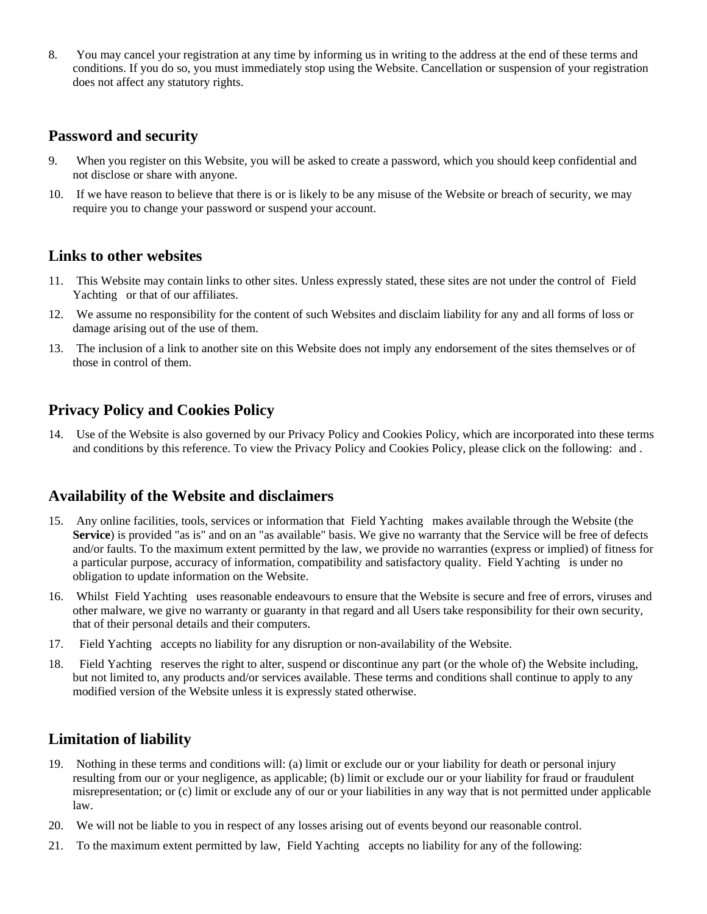8. You may cancel your registration at any time by informing us in writing to the address at the end of these terms and conditions. If you do so, you must immediately stop using the Website. Cancellation or suspension of your registration does not affect any statutory rights.

## **Password and security**

- 9. When you register on this Website, you will be asked to create a password, which you should keep confidential and not disclose or share with anyone.
- 10. If we have reason to believe that there is or is likely to be any misuse of the Website or breach of security, we may require you to change your password or suspend your account.

#### **Links to other websites**

- 11. This Website may contain links to other sites. Unless expressly stated, these sites are not under the control of Field Yachting or that of our affiliates.
- 12. We assume no responsibility for the content of such Websites and disclaim liability for any and all forms of loss or damage arising out of the use of them.
- 13. The inclusion of a link to another site on this Website does not imply any endorsement of the sites themselves or of those in control of them.

#### **Privacy Policy and Cookies Policy**

14. Use of the Website is also governed by our Privacy Policy and Cookies Policy, which are incorporated into these terms and conditions by this reference. To view the Privacy Policy and Cookies Policy, please click on the following: and .

#### **Availability of the Website and disclaimers**

- 15. Any online facilities, tools, services or information that Field Yachting makes available through the Website (the **Service**) is provided "as is" and on an "as available" basis. We give no warranty that the Service will be free of defects and/or faults. To the maximum extent permitted by the law, we provide no warranties (express or implied) of fitness for a particular purpose, accuracy of information, compatibility and satisfactory quality. Field Yachting is under no obligation to update information on the Website.
- 16. Whilst Field Yachting uses reasonable endeavours to ensure that the Website is secure and free of errors, viruses and other malware, we give no warranty or guaranty in that regard and all Users take responsibility for their own security, that of their personal details and their computers.
- 17. Field Yachting accepts no liability for any disruption or non-availability of the Website.
- 18. Field Yachting reserves the right to alter, suspend or discontinue any part (or the whole of) the Website including, but not limited to, any products and/or services available. These terms and conditions shall continue to apply to any modified version of the Website unless it is expressly stated otherwise.

## **Limitation of liability**

- 19. Nothing in these terms and conditions will: (a) limit or exclude our or your liability for death or personal injury resulting from our or your negligence, as applicable; (b) limit or exclude our or your liability for fraud or fraudulent misrepresentation; or (c) limit or exclude any of our or your liabilities in any way that is not permitted under applicable law.
- 20. We will not be liable to you in respect of any losses arising out of events beyond our reasonable control.
- 21. To the maximum extent permitted by law, Field Yachting accepts no liability for any of the following: